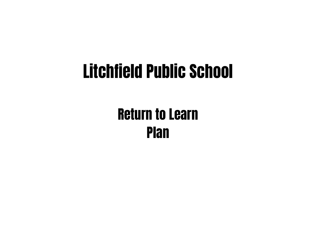# Litchfield Public School

## Return to Learn Plan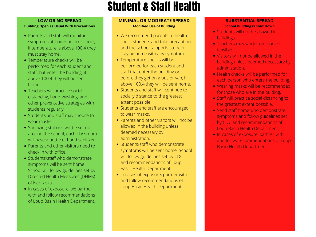### Student & Staff Health

- Parents and staff will monitor symptoms at home before school, if temperature is above 100.4 they must stay home.
- Temperature checks will be performed for each student and staff that enter the building, if above 100.4 they will be sent home.
- Teachers will practice social distancing, hand-washing, and other preventative strategies with students regularly.
- Students and staff may choose to wear masks.
- Sanitizing stations will be set up around the school, each classroom will have a bottle of hand sanitizer.
- Parents and other visitors need to check in with office.
- Students/staff who demonstrate symptoms will be sent home. School will follow guidelines set by Directed Health Measures (DHMs) of Nebraska.
- In cases of exposure, we partner with and follow recommendations of Loup Basin Health Department.
- **Students will not be allowed in** buildings.
- Teachers may work from home if feasible.
- Visitors will not be allowed in the building unless deemed necessary by administation.
- Health checks will be performed for each person who enters the building.
- Wearing masks will be recommended for those who are in the buiding.
- Staff will practice social distancing to the greatest extent possible.
- Send staff home who demonstrate symptoms and follow guidelines set by CDC and recommendations of Loup Basin Health Department.
- In cases of exposure, partner with and follow recommendations of Loup Basin Health Department.
- We recommend parents to health check students and take precaution, and the school supports student staying home with any symptom. Temperature checks will be performed for each student and staff that enter the building or before they get on a bus or van, if above 100.4 they will be sent home.
- 
- Students and staff will continue to socially distance to the greatest extent possible.
- Students and staff are encouraged to wear masks.
- Parents and other visitors will not be allowed in the building unless deemed necessary by administration.
- Students/staff who demonstrate symptoms will be sent home. School will follow guidelines set by CDC and recommendations of Loup Basin Health Department.
- In cases of exposure, partner with and follow recommendations of Loup Basin Health Department.

#### **LOW OR NO SPREAD Building Open as Usual With Precautions**

#### **MINIMAL OR MODERATE SPREAD Modified Use of Building**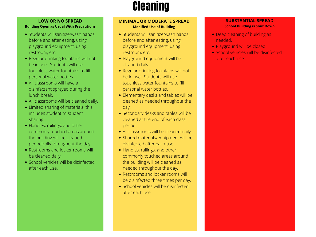- Students will sanitize/wash hands before and after eating, using playground equipment, using restroom, etc.
- Regular drinking fountains will not be in use. Students will use touchless water fountains to fill personal water bottles.
- All classrooms will have a disinfectant sprayed during the lunch break.
- All classrooms will be cleaned daily.
- Limited sharing of materials, this includes student to student sharing.
- Handles, railings, and other commonly touched areas around the building will be cleaned periodically throughout the day.
- Restrooms and locker rooms will be cleaned daily.
- School vehicles will be disinfected after each use.
- Deep cleaning of building as needed.
- Playground will be closed.
- **.** School vehicles will be disinfected after each use.
- Students will sanitize/wash hands before and after eating, using playground equipment, using restroom, etc.
- Playground equipment will be cleaned daily.
- Regular drinking fountains will not be in use. Students will use touchless water fountains to fill personal water bottles.
- Elementary desks and tables will be cleaned as needed throughout the day.
- Secondary desks and tables will be cleaned at the end of each class period.
- All classrooms will be cleaned daily. Shared materials/equipment will be
- disinfected after each use.
- Handles, railings, and other commonly touched areas around the building will be cleaned as needed throughout the day.
- Restrooms and locker rooms will be disinfected three times per day.
- School vehicles will be disinfected after each use.



### **Cleaning**

#### **LOW OR NO SPREAD Building Open as Usual With Precautions**

#### **MINIMAL OR MODERATE SPREAD Modified Use of Building**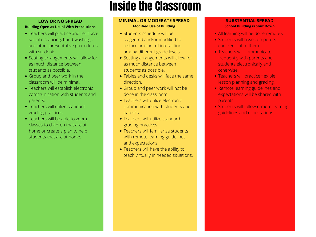### Inside the Classroom

- Teachers will practice and reinforce social distancing, hand-washing , and other preventative procedures with students.
- Seating arrangements will allow for as much distance between students as possible.
- Group and peer work in the classroom will be minimal.
- Teachers will establish electronic communication with students and parents.
- Teachers will utilize standard grading practices.
- Teachers will be able to zoom classes to children that are at home or create a plan to help students that are at home.
- Students schedule will be staggered and/or modified to reduce amount of interaction among different grade levels.
- Seating arrangements will allow for as much distance between students as possible.
- Tables and desks will face the same direction.
- Group and peer work will not be done in the classroom.
- Teachers will utilize electronic communication with students and parents.
- Teachers will utilize standard grading practices.
- Teachers will familiarize students with remote learning guidelines and expectations.
- Teachers will have the ability to teach virtually in needed situations.
- All learning will be done remotely.
- Students will have computers checked out to them.
- Teachers will communicate frequently with parents and students electronically and otherwise.
- Teachers will practice flexible lesson planning and grading.
- Remote learning guidelines and expectations will be shared with parents.
- Students will follow remote learning guidelines and expectations.

#### **LOW OR NO SPREAD**

#### **Building Open as Usual With Precautions**

#### **MINIMAL OR MODERATE SPREAD Modified Use of Building**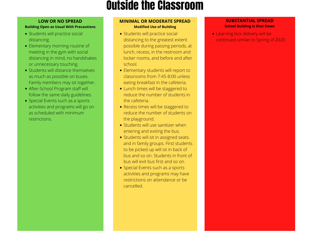### Outside the Classroom

- Students will practice social distancing.
- Elementary morning routine of meeting in the gym with social distancing in mind, no handshakes or unnecessary touching.
- Students will distance themselves as much as possible on buses. Family members may sit together.
- After-School Program staff will follow the same daily guidelines.
- Special Events such as a sports activities and programs will go on as scheduled with minimum restrictions.
- Students will practice social distancing to the greatest extent possible during passing periods, at lunch, recess, in the restroom and locker rooms, and before and after school.
- Elementary students will report to classrooms from 7:45-8:00 unless eating breakfast in the cafeteria.
- Lunch times will be staggered to reduce the number of students in the cafeteria.
- Recess times will be staggered to reduce the number of students on the playground.
- **Students will use sanitizer when** entering and exiting the bus.
- Students will sit in assigned seats. and in family groups. First students to be picked up will sit in back of bus and so on. Students in front of bus will exit bus first and so on.
- Special Events such as a sports activities and programs may have restrictions on attendance or be cancelled.

Learning box delivery will be continued similar to Spring of 2020.

#### **LOW OR NO SPREAD**

#### **Building Open as Usual With Precautions**

#### **MINIMAL OR MODERATE SPREAD Modified Use of Building**